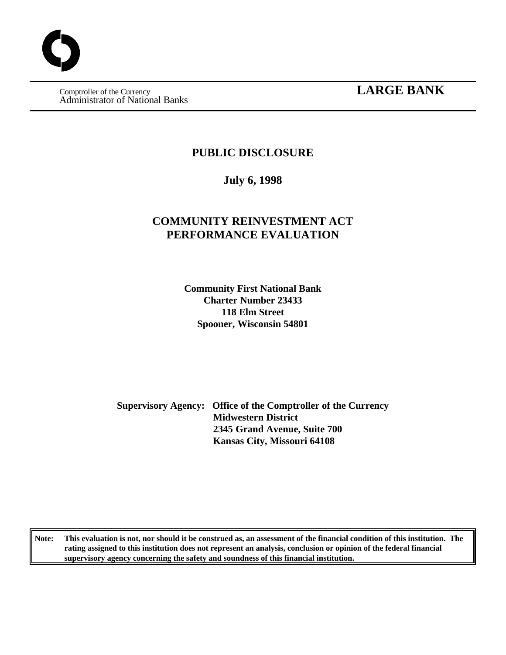Administrator of National Banks

## **Comptroller of the Currency LARGE BANK**

### **PUBLIC DISCLOSURE**

**July 6, 1998**

### **COMMUNITY REINVESTMENT ACT PERFORMANCE EVALUATION**

**Community First National Bank Charter Number 23433 118 Elm Street Spooner, Wisconsin 54801**

**Supervisory Agency: Office of the Comptroller of the Currency Midwestern District 2345 Grand Avenue, Suite 700 Kansas City, Missouri 64108**

**Note: This evaluation is not, nor should it be construed as, an assessment of the financial condition of this institution. The rating assigned to this institution does not represent an analysis, conclusion or opinion of the federal financial supervisory agency concerning the safety and soundness of this financial institution.**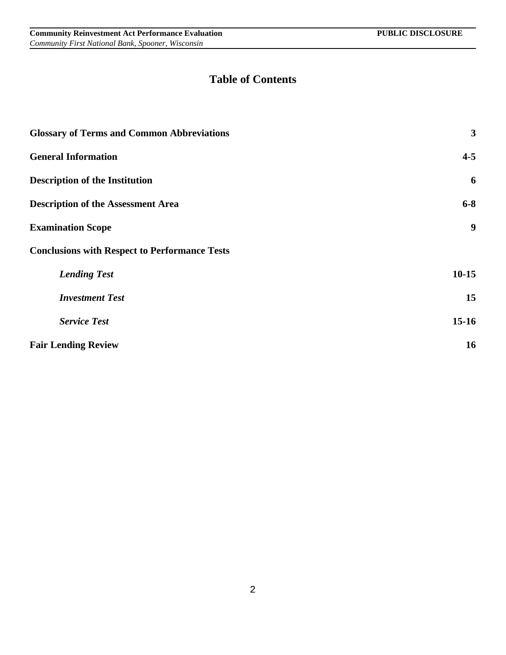## **Table of Contents**

| <b>Glossary of Terms and Common Abbreviations</b>    | 3         |
|------------------------------------------------------|-----------|
| <b>General Information</b>                           | $4 - 5$   |
| <b>Description of the Institution</b>                | 6         |
| <b>Description of the Assessment Area</b>            | $6 - 8$   |
| <b>Examination Scope</b>                             | 9         |
| <b>Conclusions with Respect to Performance Tests</b> |           |
| <b>Lending Test</b>                                  | $10 - 15$ |
| <b>Investment Test</b>                               | 15        |
| <b>Service Test</b>                                  | $15-16$   |
| <b>Fair Lending Review</b>                           | 16        |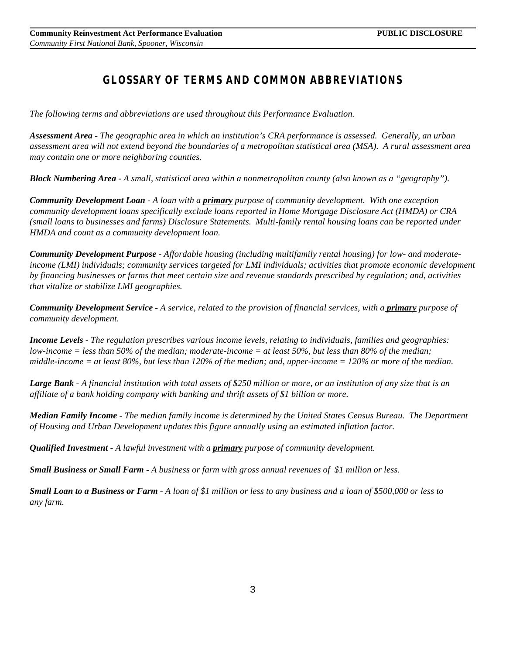# *GLOSSARY OF TERMS AND COMMON ABBREVIATIONS*

*The following terms and abbreviations are used throughout this Performance Evaluation.*

*Assessment Area - The geographic area in which an institution's CRA performance is assessed. Generally, an urban assessment area will not extend beyond the boundaries of a metropolitan statistical area (MSA). A rural assessment area may contain one or more neighboring counties.*

*Block Numbering Area - A small, statistical area within a nonmetropolitan county (also known as a "geography").*

*Community Development Loan - A loan with a primary purpose of community development. With one exception community development loans specifically exclude loans reported in Home Mortgage Disclosure Act (HMDA) or CRA (small loans to businesses and farms) Disclosure Statements. Multi-family rental housing loans can be reported under HMDA and count as a community development loan.*

*Community Development Purpose - Affordable housing (including multifamily rental housing) for low- and moderateincome (LMI) individuals; community services targeted for LMI individuals; activities that promote economic development by financing businesses or farms that meet certain size and revenue standards prescribed by regulation; and, activities that vitalize or stabilize LMI geographies.* 

*Community Development Service - A service, related to the provision of financial services, with a primary purpose of community development.*

*Income Levels - The regulation prescribes various income levels, relating to individuals, families and geographies: low-income = less than 50% of the median; moderate-income = at least 50%, but less than 80% of the median; middle-income = at least 80%, but less than 120% of the median; and, upper-income = 120% or more of the median.*

*Large Bank - A financial institution with total assets of \$250 million or more, or an institution of any size that is an affiliate of a bank holding company with banking and thrift assets of \$1 billion or more.*

*Median Family Income - The median family income is determined by the United States Census Bureau. The Department of Housing and Urban Development updates this figure annually using an estimated inflation factor.*

*Qualified Investment - A lawful investment with a primary purpose of community development.* 

*Small Business or Small Farm - A business or farm with gross annual revenues of \$1 million or less.*

*Small Loan to a Business or Farm - A loan of \$1 million or less to any business and a loan of \$500,000 or less to any farm.*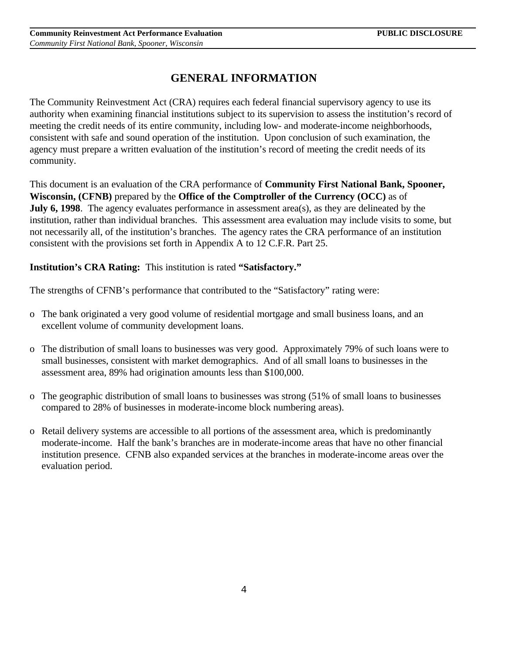### **GENERAL INFORMATION**

The Community Reinvestment Act (CRA) requires each federal financial supervisory agency to use its authority when examining financial institutions subject to its supervision to assess the institution's record of meeting the credit needs of its entire community, including low- and moderate-income neighborhoods, consistent with safe and sound operation of the institution. Upon conclusion of such examination, the agency must prepare a written evaluation of the institution's record of meeting the credit needs of its community.

This document is an evaluation of the CRA performance of **Community First National Bank, Spooner, Wisconsin, (CFNB)** prepared by the **Office of the Comptroller of the Currency (OCC)** as of **July 6, 1998**. The agency evaluates performance in assessment area(s), as they are delineated by the institution, rather than individual branches. This assessment area evaluation may include visits to some, but not necessarily all, of the institution's branches. The agency rates the CRA performance of an institution consistent with the provisions set forth in Appendix A to 12 C.F.R. Part 25.

### **Institution's CRA Rating:** This institution is rated **"Satisfactory."**

The strengths of CFNB's performance that contributed to the "Satisfactory" rating were:

- o The bank originated a very good volume of residential mortgage and small business loans, and an excellent volume of community development loans.
- o The distribution of small loans to businesses was very good. Approximately 79% of such loans were to small businesses, consistent with market demographics. And of all small loans to businesses in the assessment area, 89% had origination amounts less than \$100,000.
- o The geographic distribution of small loans to businesses was strong (51% of small loans to businesses compared to 28% of businesses in moderate-income block numbering areas).
- o Retail delivery systems are accessible to all portions of the assessment area, which is predominantly moderate-income. Half the bank's branches are in moderate-income areas that have no other financial institution presence. CFNB also expanded services at the branches in moderate-income areas over the evaluation period.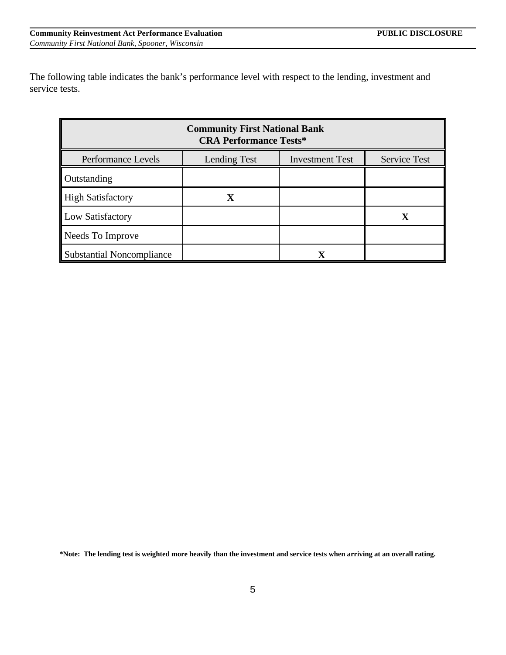The following table indicates the bank's performance level with respect to the lending, investment and service tests.

| <b>Community First National Bank</b><br><b>CRA Performance Tests*</b> |                     |                        |                     |  |  |  |
|-----------------------------------------------------------------------|---------------------|------------------------|---------------------|--|--|--|
| Performance Levels                                                    | <b>Lending Test</b> | <b>Investment Test</b> | <b>Service Test</b> |  |  |  |
| Outstanding                                                           |                     |                        |                     |  |  |  |
| <b>High Satisfactory</b>                                              | $\mathbf X$         |                        |                     |  |  |  |
| Low Satisfactory                                                      |                     |                        | X                   |  |  |  |
| Needs To Improve                                                      |                     |                        |                     |  |  |  |
| <b>Substantial Noncompliance</b>                                      |                     |                        |                     |  |  |  |

**\*Note: The lending test is weighted more heavily than the investment and service tests when arriving at an overall rating.**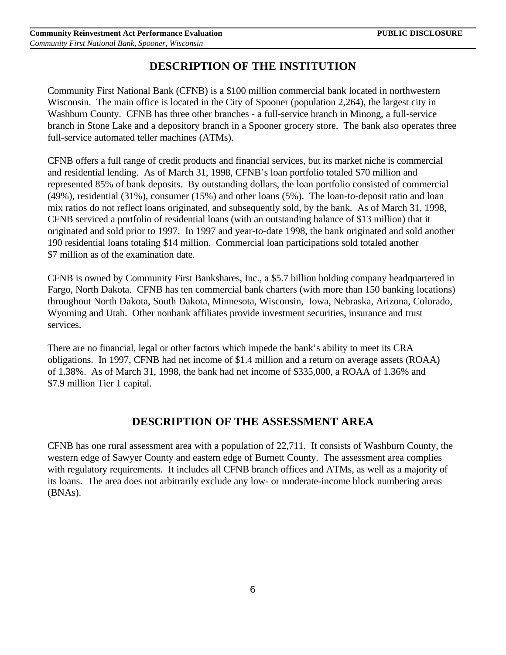### **DESCRIPTION OF THE INSTITUTION**

Community First National Bank (CFNB) is a \$100 million commercial bank located in northwestern Wisconsin. The main office is located in the City of Spooner (population 2,264), the largest city in Washburn County. CFNB has three other branches - a full-service branch in Minong, a full-service branch in Stone Lake and a depository branch in a Spooner grocery store. The bank also operates three full-service automated teller machines (ATMs).

CFNB offers a full range of credit products and financial services, but its market niche is commercial and residential lending. As of March 31, 1998, CFNB's loan portfolio totaled \$70 million and represented 85% of bank deposits. By outstanding dollars, the loan portfolio consisted of commercial (49%), residential (31%), consumer (15%) and other loans (5%). The loan-to-deposit ratio and loan mix ratios do not reflect loans originated, and subsequently sold, by the bank. As of March 31, 1998, CFNB serviced a portfolio of residential loans (with an outstanding balance of \$13 million) that it originated and sold prior to 1997. In 1997 and year-to-date 1998, the bank originated and sold another 190 residential loans totaling \$14 million. Commercial loan participations sold totaled another \$7 million as of the examination date.

CFNB is owned by Community First Bankshares, Inc., a \$5.7 billion holding company headquartered in Fargo, North Dakota. CFNB has ten commercial bank charters (with more than 150 banking locations) throughout North Dakota, South Dakota, Minnesota, Wisconsin, Iowa, Nebraska, Arizona, Colorado, Wyoming and Utah. Other nonbank affiliates provide investment securities, insurance and trust services.

There are no financial, legal or other factors which impede the bank's ability to meet its CRA obligations. In 1997, CFNB had net income of \$1.4 million and a return on average assets (ROAA) of 1.38%. As of March 31, 1998, the bank had net income of \$335,000, a ROAA of 1.36% and \$7.9 million Tier 1 capital.

### **DESCRIPTION OF THE ASSESSMENT AREA**

CFNB has one rural assessment area with a population of 22,711. It consists of Washburn County, the western edge of Sawyer County and eastern edge of Burnett County. The assessment area complies with regulatory requirements. It includes all CFNB branch offices and ATMs, as well as a majority of its loans. The area does not arbitrarily exclude any low- or moderate-income block numbering areas (BNAs).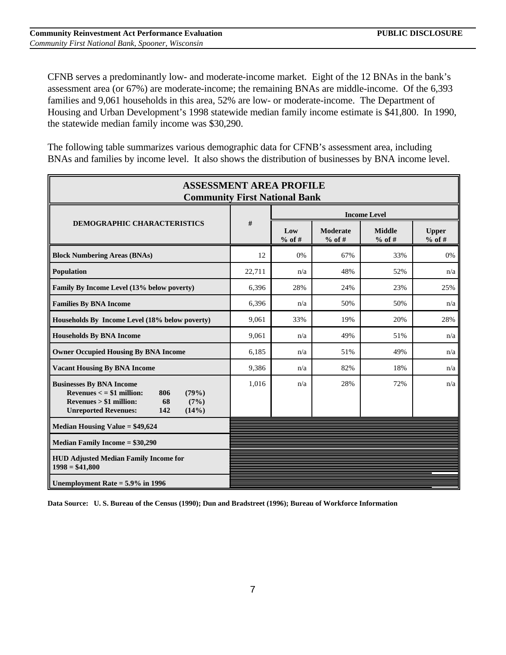CFNB serves a predominantly low- and moderate-income market. Eight of the 12 BNAs in the bank's assessment area (or 67%) are moderate-income; the remaining BNAs are middle-income. Of the 6,393 families and 9,061 households in this area, 52% are low- or moderate-income. The Department of Housing and Urban Development's 1998 statewide median family income estimate is \$41,800. In 1990, the statewide median family income was \$30,290.

The following table summarizes various demographic data for CFNB's assessment area, including BNAs and families by income level. It also shows the distribution of businesses by BNA income level.

| <b>ASSESSMENT AREA PROFILE</b><br><b>Community First National Bank</b>                                                                                                    |        |                     |                             |                           |                          |  |  |
|---------------------------------------------------------------------------------------------------------------------------------------------------------------------------|--------|---------------------|-----------------------------|---------------------------|--------------------------|--|--|
|                                                                                                                                                                           |        | <b>Income Level</b> |                             |                           |                          |  |  |
| <b>DEMOGRAPHIC CHARACTERISTICS</b>                                                                                                                                        | #      | Low<br>$%$ of #     | <b>Moderate</b><br>$%$ of # | <b>Middle</b><br>$%$ of # | <b>Upper</b><br>$%$ of # |  |  |
| <b>Block Numbering Areas (BNAs)</b>                                                                                                                                       | 12     | 0%                  | 67%                         | 33%                       | 0%                       |  |  |
| <b>Population</b>                                                                                                                                                         | 22,711 | n/a                 | 48%                         | 52%                       | n/a                      |  |  |
| Family By Income Level (13% below poverty)                                                                                                                                | 6,396  | 28%                 | 24%                         | 23%                       | 25%                      |  |  |
| <b>Families By BNA Income</b>                                                                                                                                             | 6,396  | n/a                 | 50%                         | 50%                       | n/a                      |  |  |
| Households By Income Level (18% below poverty)                                                                                                                            | 9,061  | 33%                 | 19%                         | 20%                       | 28%                      |  |  |
| <b>Households By BNA Income</b>                                                                                                                                           | 9,061  | n/a                 | 49%                         | 51%                       | n/a                      |  |  |
| <b>Owner Occupied Housing By BNA Income</b>                                                                                                                               | 6,185  | n/a                 | 51%                         | 49%                       | n/a                      |  |  |
| <b>Vacant Housing By BNA Income</b>                                                                                                                                       | 9,386  | n/a                 | 82%                         | 18%                       | n/a                      |  |  |
| <b>Businesses By BNA Income</b><br>Revenues $\lt$ = \$1 million:<br>806<br>(79%)<br>$Revenues > $1$ million:<br>68<br>(7%)<br><b>Unreported Revenues:</b><br>142<br>(14%) | 1,016  | n/a                 | 28%                         | 72%                       | n/a                      |  |  |
| <b>Median Housing Value = \$49,624</b>                                                                                                                                    |        |                     |                             |                           |                          |  |  |
| <b>Median Family Income = \$30,290</b>                                                                                                                                    |        |                     |                             |                           |                          |  |  |
| <b>HUD Adjusted Median Family Income for</b><br>$1998 = $41,800$                                                                                                          |        |                     |                             |                           |                          |  |  |
| Unemployment Rate $=$ 5.9% in 1996                                                                                                                                        |        |                     |                             |                           |                          |  |  |

**Data Source: U. S. Bureau of the Census (1990); Dun and Bradstreet (1996); Bureau of Workforce Information**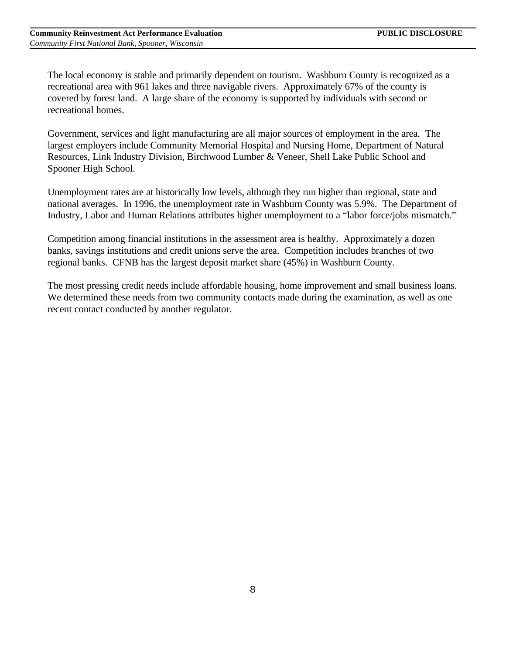The local economy is stable and primarily dependent on tourism. Washburn County is recognized as a recreational area with 961 lakes and three navigable rivers. Approximately 67% of the county is covered by forest land. A large share of the economy is supported by individuals with second or recreational homes.

Government, services and light manufacturing are all major sources of employment in the area. The largest employers include Community Memorial Hospital and Nursing Home, Department of Natural Resources, Link Industry Division, Birchwood Lumber & Veneer, Shell Lake Public School and Spooner High School.

Unemployment rates are at historically low levels, although they run higher than regional, state and national averages. In 1996, the unemployment rate in Washburn County was 5.9%. The Department of Industry, Labor and Human Relations attributes higher unemployment to a "labor force/jobs mismatch."

Competition among financial institutions in the assessment area is healthy. Approximately a dozen banks, savings institutions and credit unions serve the area. Competition includes branches of two regional banks. CFNB has the largest deposit market share (45%) in Washburn County.

The most pressing credit needs include affordable housing, home improvement and small business loans. We determined these needs from two community contacts made during the examination, as well as one recent contact conducted by another regulator.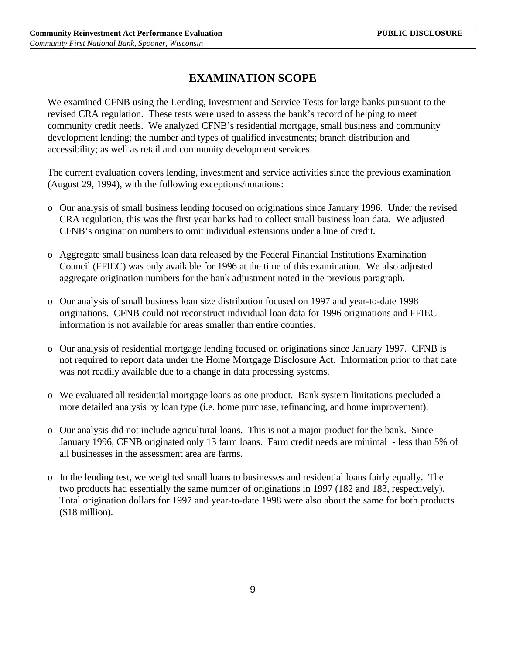## **EXAMINATION SCOPE**

We examined CFNB using the Lending, Investment and Service Tests for large banks pursuant to the revised CRA regulation. These tests were used to assess the bank's record of helping to meet community credit needs. We analyzed CFNB's residential mortgage, small business and community development lending; the number and types of qualified investments; branch distribution and accessibility; as well as retail and community development services.

The current evaluation covers lending, investment and service activities since the previous examination (August 29, 1994), with the following exceptions/notations:

- o Our analysis of small business lending focused on originations since January 1996. Under the revised CRA regulation, this was the first year banks had to collect small business loan data. We adjusted CFNB's origination numbers to omit individual extensions under a line of credit.
- o Aggregate small business loan data released by the Federal Financial Institutions Examination Council (FFIEC) was only available for 1996 at the time of this examination. We also adjusted aggregate origination numbers for the bank adjustment noted in the previous paragraph.
- o Our analysis of small business loan size distribution focused on 1997 and year-to-date 1998 originations. CFNB could not reconstruct individual loan data for 1996 originations and FFIEC information is not available for areas smaller than entire counties.
- o Our analysis of residential mortgage lending focused on originations since January 1997. CFNB is not required to report data under the Home Mortgage Disclosure Act. Information prior to that date was not readily available due to a change in data processing systems.
- o We evaluated all residential mortgage loans as one product. Bank system limitations precluded a more detailed analysis by loan type (i.e. home purchase, refinancing, and home improvement).
- o Our analysis did not include agricultural loans. This is not a major product for the bank. Since January 1996, CFNB originated only 13 farm loans. Farm credit needs are minimal - less than 5% of all businesses in the assessment area are farms.
- o In the lending test, we weighted small loans to businesses and residential loans fairly equally. The two products had essentially the same number of originations in 1997 (182 and 183, respectively). Total origination dollars for 1997 and year-to-date 1998 were also about the same for both products (\$18 million).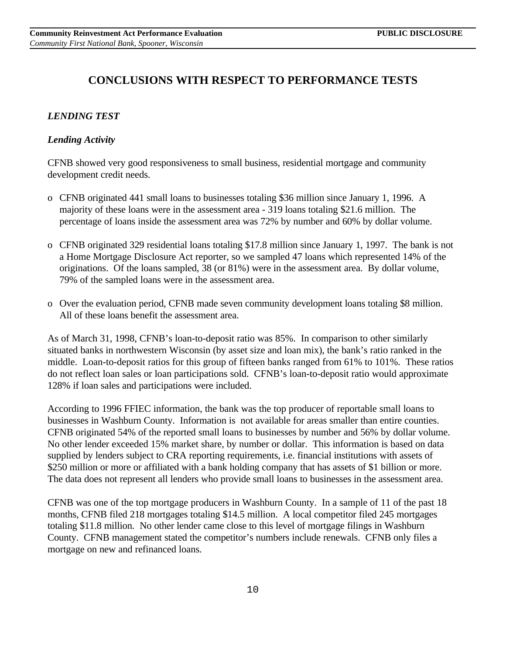## **CONCLUSIONS WITH RESPECT TO PERFORMANCE TESTS**

### *LENDING TEST*

### *Lending Activity*

CFNB showed very good responsiveness to small business, residential mortgage and community development credit needs.

- o CFNB originated 441 small loans to businesses totaling \$36 million since January 1, 1996. A majority of these loans were in the assessment area - 319 loans totaling \$21.6 million. The percentage of loans inside the assessment area was 72% by number and 60% by dollar volume.
- o CFNB originated 329 residential loans totaling \$17.8 million since January 1, 1997. The bank is not a Home Mortgage Disclosure Act reporter, so we sampled 47 loans which represented 14% of the originations. Of the loans sampled, 38 (or 81%) were in the assessment area. By dollar volume, 79% of the sampled loans were in the assessment area.
- o Over the evaluation period, CFNB made seven community development loans totaling \$8 million. All of these loans benefit the assessment area.

As of March 31, 1998, CFNB's loan-to-deposit ratio was 85%. In comparison to other similarly situated banks in northwestern Wisconsin (by asset size and loan mix), the bank's ratio ranked in the middle. Loan-to-deposit ratios for this group of fifteen banks ranged from 61% to 101%. These ratios do not reflect loan sales or loan participations sold. CFNB's loan-to-deposit ratio would approximate 128% if loan sales and participations were included.

According to 1996 FFIEC information, the bank was the top producer of reportable small loans to businesses in Washburn County. Information is not available for areas smaller than entire counties. CFNB originated 54% of the reported small loans to businesses by number and 56% by dollar volume. No other lender exceeded 15% market share, by number or dollar. This information is based on data supplied by lenders subject to CRA reporting requirements, i.e. financial institutions with assets of \$250 million or more or affiliated with a bank holding company that has assets of \$1 billion or more. The data does not represent all lenders who provide small loans to businesses in the assessment area.

CFNB was one of the top mortgage producers in Washburn County. In a sample of 11 of the past 18 months, CFNB filed 218 mortgages totaling \$14.5 million. A local competitor filed 245 mortgages totaling \$11.8 million. No other lender came close to this level of mortgage filings in Washburn County. CFNB management stated the competitor's numbers include renewals. CFNB only files a mortgage on new and refinanced loans.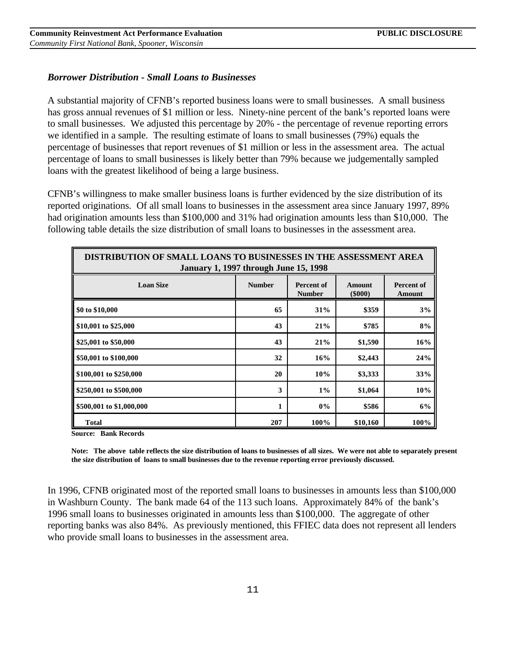#### *Borrower Distribution - Small Loans to Businesses*

A substantial majority of CFNB's reported business loans were to small businesses. A small business has gross annual revenues of \$1 million or less. Ninety-nine percent of the bank's reported loans were to small businesses. We adjusted this percentage by 20% - the percentage of revenue reporting errors we identified in a sample. The resulting estimate of loans to small businesses (79%) equals the percentage of businesses that report revenues of \$1 million or less in the assessment area. The actual percentage of loans to small businesses is likely better than 79% because we judgementally sampled loans with the greatest likelihood of being a large business.

CFNB's willingness to make smaller business loans is further evidenced by the size distribution of its reported originations. Of all small loans to businesses in the assessment area since January 1997, 89% had origination amounts less than \$100,000 and 31% had origination amounts less than \$10,000. The following table details the size distribution of small loans to businesses in the assessment area.

| DISTRIBUTION OF SMALL LOANS TO BUSINESSES IN THE ASSESSMENT AREA<br><b>January 1, 1997 through June 15, 1998</b> |               |                             |                     |                             |  |  |  |
|------------------------------------------------------------------------------------------------------------------|---------------|-----------------------------|---------------------|-----------------------------|--|--|--|
| <b>Loan Size</b>                                                                                                 | <b>Number</b> | Percent of<br><b>Number</b> | Amount<br>$(\$000)$ | Percent of<br><b>Amount</b> |  |  |  |
| \$0 to \$10,000                                                                                                  | 65            | 31%                         | \$359               | 3%                          |  |  |  |
| \$10,001 to \$25,000                                                                                             | 43            | 21%                         | \$785               | 8%                          |  |  |  |
| \$25,001 to \$50,000                                                                                             | 43            | 21%                         | \$1,590             | 16%                         |  |  |  |
| \$50,001 to \$100,000                                                                                            | 32            | 16%                         | \$2,443             | 24%                         |  |  |  |
| \$100,001 to \$250,000                                                                                           | 20            | 10%                         | \$3,333             | 33%                         |  |  |  |
| \$250,001 to \$500,000                                                                                           | 3             | $1\%$                       | \$1,064             | 10%                         |  |  |  |
| \$500,001 to \$1,000,000                                                                                         | 1             | $0\%$                       | \$586               | 6%                          |  |  |  |
| <b>Total</b>                                                                                                     | 207           | 100%                        | \$10,160            | 100%                        |  |  |  |

**Source: Bank Records**

**Note: The above table reflects the size distribution of loans to businesses of all sizes. We were not able to separately present the size distribution of loans to small businesses due to the revenue reporting error previously discussed.**

In 1996, CFNB originated most of the reported small loans to businesses in amounts less than \$100,000 in Washburn County. The bank made 64 of the 113 such loans. Approximately 84% of the bank's 1996 small loans to businesses originated in amounts less than \$100,000. The aggregate of other reporting banks was also 84%. As previously mentioned, this FFIEC data does not represent all lenders who provide small loans to businesses in the assessment area.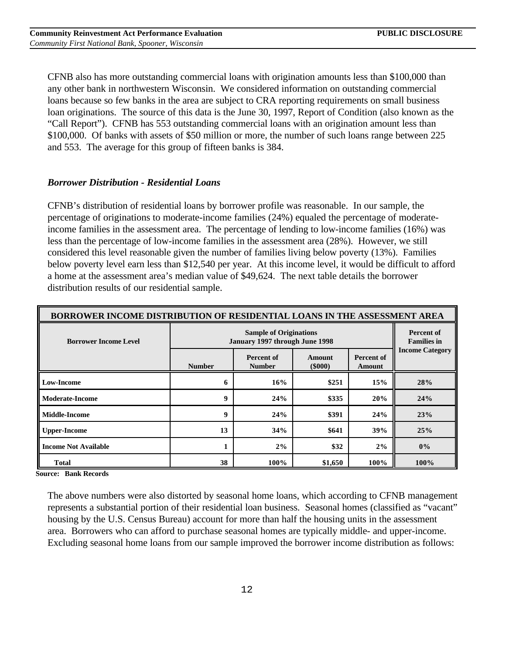CFNB also has more outstanding commercial loans with origination amounts less than \$100,000 than any other bank in northwestern Wisconsin. We considered information on outstanding commercial loans because so few banks in the area are subject to CRA reporting requirements on small business loan originations. The source of this data is the June 30, 1997, Report of Condition (also known as the "Call Report"). CFNB has 553 outstanding commercial loans with an origination amount less than \$100,000. Of banks with assets of \$50 million or more, the number of such loans range between 225 and 553. The average for this group of fifteen banks is 384.

#### *Borrower Distribution - Residential Loans*

CFNB's distribution of residential loans by borrower profile was reasonable. In our sample, the percentage of originations to moderate-income families (24%) equaled the percentage of moderateincome families in the assessment area. The percentage of lending to low-income families (16%) was less than the percentage of low-income families in the assessment area (28%). However, we still considered this level reasonable given the number of families living below poverty (13%). Families below poverty level earn less than \$12,540 per year. At this income level, it would be difficult to afford a home at the assessment area's median value of \$49,624. The next table details the borrower distribution results of our residential sample.

| BORROWER INCOME DISTRIBUTION OF RESIDENTIAL LOANS IN THE ASSESSMENT AREA |                                |                                         |         |      |       |  |
|--------------------------------------------------------------------------|--------------------------------|-----------------------------------------|---------|------|-------|--|
| <b>Borrower Income Level</b>                                             | January 1997 through June 1998 | <b>Percent of</b><br><b>Families in</b> |         |      |       |  |
|                                                                          | <b>Income Category</b>         |                                         |         |      |       |  |
| <b>Low-Income</b>                                                        | 6                              | 16%                                     | \$251   | 15%  | 28%   |  |
| <b>Moderate-Income</b>                                                   | 9                              | 24%                                     | \$335   | 20%  | 24%   |  |
| Middle-Income                                                            | 9                              | 24%                                     | \$391   | 24%  | 23%   |  |
| <b>Upper-Income</b>                                                      | 13                             | 34%                                     | \$641   | 39%  | 25%   |  |
| <b>Income Not Available</b>                                              |                                | 2%                                      | \$32    | 2%   | $0\%$ |  |
| <b>Total</b>                                                             | 38                             | 100%                                    | \$1,650 | 100% | 100%  |  |

**Source: Bank Records**

The above numbers were also distorted by seasonal home loans, which according to CFNB management represents a substantial portion of their residential loan business. Seasonal homes (classified as "vacant" housing by the U.S. Census Bureau) account for more than half the housing units in the assessment area. Borrowers who can afford to purchase seasonal homes are typically middle- and upper-income. Excluding seasonal home loans from our sample improved the borrower income distribution as follows: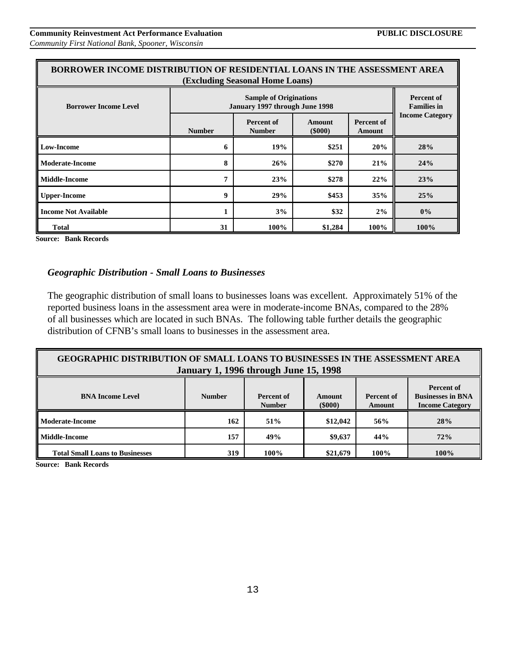| BORROWER INCOME DISTRIBUTION OF RESIDENTIAL LOANS IN THE ASSESSMENT AREA<br>(Excluding Seasonal Home Loans) |                                                                 |                                    |                         |                             |                                         |
|-------------------------------------------------------------------------------------------------------------|-----------------------------------------------------------------|------------------------------------|-------------------------|-----------------------------|-----------------------------------------|
| <b>Borrower Income Level</b>                                                                                | <b>Sample of Originations</b><br>January 1997 through June 1998 |                                    |                         |                             | <b>Percent of</b><br><b>Families in</b> |
|                                                                                                             | <b>Number</b>                                                   | <b>Percent of</b><br><b>Number</b> | Amount<br>$($ \$000 $)$ | <b>Percent of</b><br>Amount | <b>Income Category</b>                  |
| <b>Low-Income</b>                                                                                           | 6                                                               | 19%                                | \$251                   | 20%                         | 28%                                     |
| <b>Moderate-Income</b>                                                                                      | 8                                                               | 26%                                | \$270                   | 21%                         | 24%                                     |
| <b>Middle-Income</b>                                                                                        | 7                                                               | 23%                                | \$278                   | 22%                         | 23%                                     |
| <b>Upper-Income</b>                                                                                         | 9                                                               | 29%                                | \$453                   | 35%                         | 25%                                     |
| <b>Income Not Available</b>                                                                                 |                                                                 | 3%                                 | \$32                    | 2%                          | $0\%$                                   |
| Total                                                                                                       | 31                                                              | 100%                               | \$1,284                 | 100%                        | 100%                                    |

**Source: Bank Records**

#### *Geographic Distribution - Small Loans to Businesses*

The geographic distribution of small loans to businesses loans was excellent. Approximately 51% of the reported business loans in the assessment area were in moderate-income BNAs, compared to the 28% of all businesses which are located in such BNAs. The following table further details the geographic distribution of CFNB's small loans to businesses in the assessment area.

| <b>GEOGRAPHIC DISTRIBUTION OF SMALL LOANS TO BUSINESSES IN THE ASSESSMENT AREA</b><br><b>January 1, 1996 through June 15, 1998</b>                                                                           |     |      |          |      |      |  |  |
|--------------------------------------------------------------------------------------------------------------------------------------------------------------------------------------------------------------|-----|------|----------|------|------|--|--|
| <b>Percent of</b><br><b>Businesses in BNA</b><br><b>BNA Income Level</b><br><b>Number</b><br>Percent of<br>Percent of<br><b>Amount</b><br>$($ \$000 $)$<br><b>Income Category</b><br><b>Number</b><br>Amount |     |      |          |      |      |  |  |
| ll Moderate-Income                                                                                                                                                                                           | 162 | 51%  | \$12,042 | 56%  | 28%  |  |  |
| ll Middle-Income                                                                                                                                                                                             | 157 | 49%  | \$9,637  | 44%  | 72%  |  |  |
| <b>Total Small Loans to Businesses</b>                                                                                                                                                                       | 319 | 100% | \$21,679 | 100% | 100% |  |  |

**Source: Bank Records**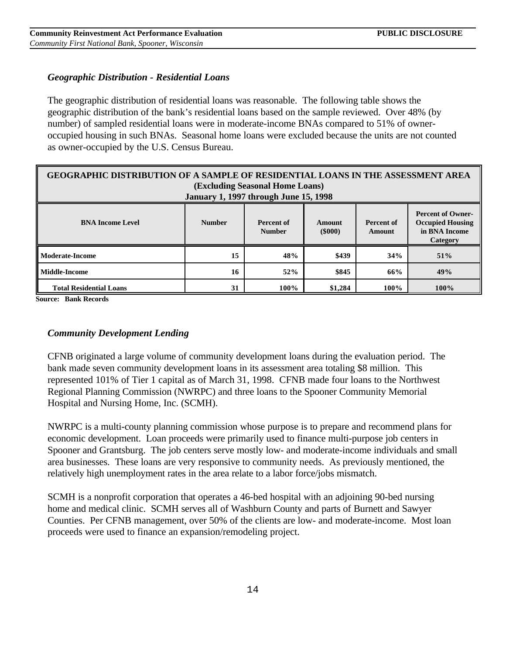### *Geographic Distribution - Residential Loans*

The geographic distribution of residential loans was reasonable. The following table shows the geographic distribution of the bank's residential loans based on the sample reviewed. Over 48% (by number) of sampled residential loans were in moderate-income BNAs compared to 51% of owneroccupied housing in such BNAs. Seasonal home loans were excluded because the units are not counted as owner-occupied by the U.S. Census Bureau.

| <b>GEOGRAPHIC DISTRIBUTION OF A SAMPLE OF RESIDENTIAL LOANS IN THE ASSESSMENT AREA</b><br>(Excluding Seasonal Home Loans)<br><b>January 1, 1997 through June 15, 1998</b>                                             |    |      |         |      |      |  |  |
|-----------------------------------------------------------------------------------------------------------------------------------------------------------------------------------------------------------------------|----|------|---------|------|------|--|--|
| <b>Percent of Owner-</b><br><b>Occupied Housing</b><br><b>BNA Income Level</b><br><b>Number</b><br>Percent of<br>Percent of<br>Amount<br>in BNA Income<br>$($ \$000 $)$<br><b>Number</b><br>Amount<br><b>Category</b> |    |      |         |      |      |  |  |
| l Moderate-Income                                                                                                                                                                                                     | 15 | 48%  | \$439   | 34%  | 51%  |  |  |
| l Middle-Income                                                                                                                                                                                                       | 16 | 52%  | \$845   | 66%  | 49%  |  |  |
| <b>Total Residential Loans</b>                                                                                                                                                                                        | 31 | 100% | \$1,284 | 100% | 100% |  |  |

**Source: Bank Records**

#### *Community Development Lending*

CFNB originated a large volume of community development loans during the evaluation period. The bank made seven community development loans in its assessment area totaling \$8 million. This represented 101% of Tier 1 capital as of March 31, 1998. CFNB made four loans to the Northwest Regional Planning Commission (NWRPC) and three loans to the Spooner Community Memorial Hospital and Nursing Home, Inc. (SCMH).

NWRPC is a multi-county planning commission whose purpose is to prepare and recommend plans for economic development. Loan proceeds were primarily used to finance multi-purpose job centers in Spooner and Grantsburg. The job centers serve mostly low- and moderate-income individuals and small area businesses. These loans are very responsive to community needs. As previously mentioned, the relatively high unemployment rates in the area relate to a labor force/jobs mismatch.

SCMH is a nonprofit corporation that operates a 46-bed hospital with an adjoining 90-bed nursing home and medical clinic. SCMH serves all of Washburn County and parts of Burnett and Sawyer Counties. Per CFNB management, over 50% of the clients are low- and moderate-income. Most loan proceeds were used to finance an expansion/remodeling project.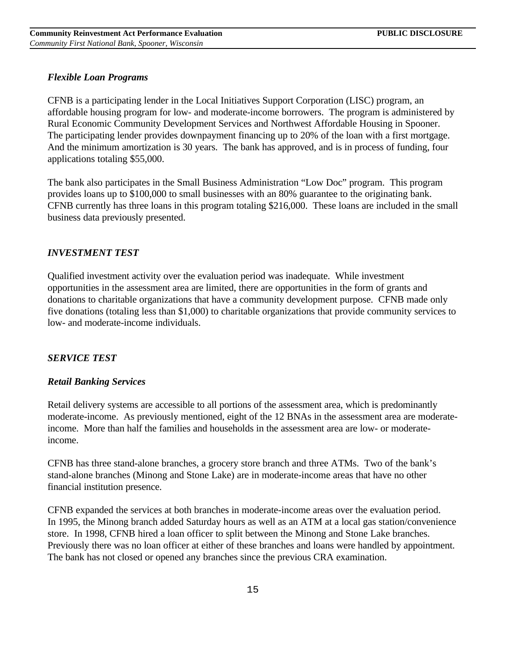### *Flexible Loan Programs*

CFNB is a participating lender in the Local Initiatives Support Corporation (LISC) program, an affordable housing program for low- and moderate-income borrowers. The program is administered by Rural Economic Community Development Services and Northwest Affordable Housing in Spooner. The participating lender provides downpayment financing up to 20% of the loan with a first mortgage. And the minimum amortization is 30 years. The bank has approved, and is in process of funding, four applications totaling \$55,000.

The bank also participates in the Small Business Administration "Low Doc" program. This program provides loans up to \$100,000 to small businesses with an 80% guarantee to the originating bank. CFNB currently has three loans in this program totaling \$216,000. These loans are included in the small business data previously presented.

### *INVESTMENT TEST*

Qualified investment activity over the evaluation period was inadequate. While investment opportunities in the assessment area are limited, there are opportunities in the form of grants and donations to charitable organizations that have a community development purpose. CFNB made only five donations (totaling less than \$1,000) to charitable organizations that provide community services to low- and moderate-income individuals.

### *SERVICE TEST*

### *Retail Banking Services*

Retail delivery systems are accessible to all portions of the assessment area, which is predominantly moderate-income. As previously mentioned, eight of the 12 BNAs in the assessment area are moderateincome. More than half the families and households in the assessment area are low- or moderateincome.

CFNB has three stand-alone branches, a grocery store branch and three ATMs. Two of the bank's stand-alone branches (Minong and Stone Lake) are in moderate-income areas that have no other financial institution presence.

CFNB expanded the services at both branches in moderate-income areas over the evaluation period. In 1995, the Minong branch added Saturday hours as well as an ATM at a local gas station/convenience store. In 1998, CFNB hired a loan officer to split between the Minong and Stone Lake branches. Previously there was no loan officer at either of these branches and loans were handled by appointment. The bank has not closed or opened any branches since the previous CRA examination.